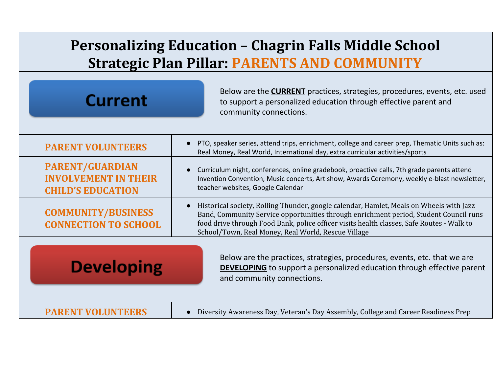## **Personalizing Education – Chagrin Falls Middle School Strategic Plan Pillar: PARENTS AND COMMUNITY**

| <b>Current</b>                                                                    | Below are the <b>CURRENT</b> practices, strategies, procedures, events, etc. used<br>to support a personalized education through effective parent and<br>community connections.                                                                                                                                                      |
|-----------------------------------------------------------------------------------|--------------------------------------------------------------------------------------------------------------------------------------------------------------------------------------------------------------------------------------------------------------------------------------------------------------------------------------|
| <b>PARENT VOLUNTEERS</b>                                                          | PTO, speaker series, attend trips, enrichment, college and career prep, Thematic Units such as:<br>Real Money, Real World, International day, extra curricular activities/sports                                                                                                                                                     |
| <b>PARENT/GUARDIAN</b><br><b>INVOLVEMENT IN THEIR</b><br><b>CHILD'S EDUCATION</b> | Curriculum night, conferences, online gradebook, proactive calls, 7th grade parents attend<br>Invention Convention, Music concerts, Art show, Awards Ceremony, weekly e-blast newsletter,<br>teacher websites, Google Calendar                                                                                                       |
| <b>COMMUNITY/BUSINESS</b><br><b>CONNECTION TO SCHOOL</b>                          | Historical society, Rolling Thunder, google calendar, Hamlet, Meals on Wheels with Jazz<br>Band, Community Service opportunities through enrichment period, Student Council runs<br>food drive through Food Bank, police officer visits health classes, Safe Routes - Walk to<br>School/Town, Real Money, Real World, Rescue Village |
| <b>Developing</b>                                                                 | Below are the practices, strategies, procedures, events, etc. that we are<br><b>DEVELOPING</b> to support a personalized education through effective parent<br>and community connections.                                                                                                                                            |
| <b>PARENT VOLUNTE</b>                                                             | Diversity Awareness Day, Veteran's Day Assembly, College and Career Readiness Prep                                                                                                                                                                                                                                                   |